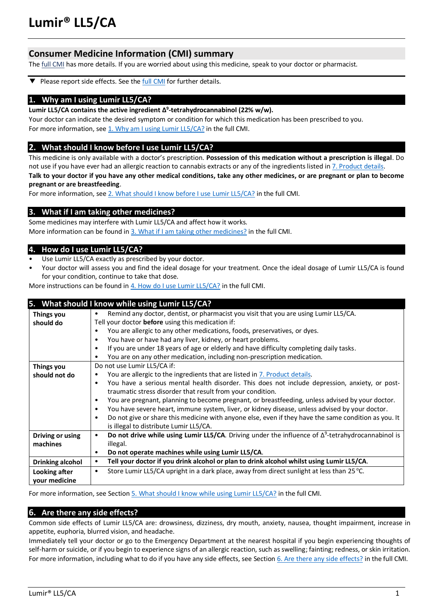# **Lumir® LL5/CA**

# **Consumer Medicine Information (CMI) summary**

The **full CMI** has more details. If you are worried about using this medicine, speak to your doctor or pharmacist.

Please report side effects. See the **full CMI** for further details. ▼

#### **1. Why am I using Lumir LL5/CA?**

**Lumir LL5/CA contains the active ingredient Δ 9 -tetrahydrocannabinol (22% w/w).**

Your doctor can indicate the desired symptom or condition for which this medication has been prescribed to you. For more information, see 1. Why am I using Lumir LL5/CA? in the full CMI.

#### **2. What should I know before I use Lumir LL5/CA?**

This medicine is only available with a doctor's prescription. **Possession of this medication without a prescription is illegal**. Do not use if you have ever had an allergic reaction to cannabis extracts or any of the ingredients listed in 7. Product details.

**Talk to your doctor if you have any other medical conditions, take any other medicines, or are pregnant or plan to become pregnant or are breastfeeding**.

For more information, see [2. What should I know before I use](#page-1-2) Lumir LL5/CA? in the full CMI.

#### **3. What if I am taking other medicines?**

Some medicines may interfere with Lumir LL5/CA and affect how it works. More information can be found in [3. What if I am taking other medicines?](#page-2-0) in the full CMI.

## **4. How do I use Lumir LL5/CA?**

- Use Lumir LL5/CA exactly as prescribed by your doctor.
- Your doctor will assess you and find the ideal dosage for your treatment. Once the ideal dosage of Lumir LL5/CA is found for your condition, continue to take that dose.

More instructions can be found i[n 4. How do I use Lumir LL5/CA?](#page-2-1) in the full CMI.

|                  | 5. What should I know while using Lumir LL5/CA?                                                                        |  |  |
|------------------|------------------------------------------------------------------------------------------------------------------------|--|--|
| Things you       | Remind any doctor, dentist, or pharmacist you visit that you are using Lumir LL5/CA.                                   |  |  |
| should do        | Tell your doctor before using this medication if:                                                                      |  |  |
|                  | You are allergic to any other medications, foods, preservatives, or dyes.                                              |  |  |
|                  | You have or have had any liver, kidney, or heart problems.<br>$\bullet$                                                |  |  |
|                  | If you are under 18 years of age or elderly and have difficulty completing daily tasks.<br>$\bullet$                   |  |  |
|                  | You are on any other medication, including non-prescription medication.                                                |  |  |
| Things you       | Do not use Lumir LL5/CA if:                                                                                            |  |  |
| should not do    | You are allergic to the ingredients that are listed in 7. Product details.<br>٠                                        |  |  |
|                  | You have a serious mental health disorder. This does not include depression, anxiety, or post-<br>$\bullet$            |  |  |
|                  | traumatic stress disorder that result from your condition.                                                             |  |  |
|                  | You are pregnant, planning to become pregnant, or breastfeeding, unless advised by your doctor.<br>$\bullet$           |  |  |
|                  | You have severe heart, immune system, liver, or kidney disease, unless advised by your doctor.<br>$\bullet$            |  |  |
|                  | Do not give or share this medicine with anyone else, even if they have the same condition as you. It<br>$\bullet$      |  |  |
|                  | is illegal to distribute Lumir LL5/CA.                                                                                 |  |  |
| Driving or using | Do not drive while using Lumir LL5/CA. Driving under the influence of $\Delta^9$ -tetrahydrocannabinol is<br>$\bullet$ |  |  |
| machines         | illegal.                                                                                                               |  |  |
|                  | Do not operate machines while using Lumir LL5/CA.<br>$\bullet$                                                         |  |  |
| Drinking alcohol | Tell your doctor if you drink alcohol or plan to drink alcohol whilst using Lumir LL5/CA.<br>٠                         |  |  |
| Looking after    | Store Lumir LL5/CA upright in a dark place, away from direct sunlight at less than 25 °C.<br>$\bullet$                 |  |  |
| your medicine    |                                                                                                                        |  |  |
|                  |                                                                                                                        |  |  |

For more information, see Section [5. What should I know while using Lumir LL5/CA?](#page-2-2) in the full CMI.

## **6. Are there any side effects?**

Common side effects of Lumir LL5/CA are: drowsiness, dizziness, dry mouth, anxiety, nausea, thought impairment, increase in appetite, euphoria, blurred vision, and headache.

Immediately tell your doctor or go to the Emergency Department at the nearest hospital if you begin experiencing thoughts of self-harm or suicide, or if you begin to experience signs of an allergic reaction, such as swelling; fainting; redness, or skin irritation. For more information, including what to do if you have any side effects, see Section [6. Are there any side effects?](#page-3-1) in the full CMI.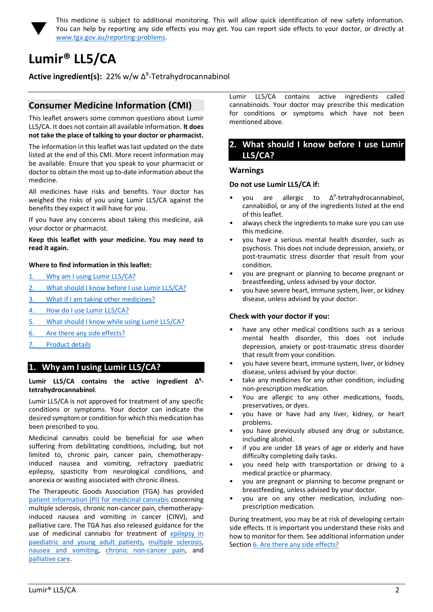

<span id="page-1-0"></span>This medicine is subject to additional monitoring. This will allow quick identification of new safety information. You can help by reporting any side effects you may get. You can report side effects to your doctor, or directly at [www.tga.gov.au/reporting-problems.](http://www.tga.gov.au/reporting-problems)

# <span id="page-1-1"></span>**Lumir® LL5/CA**

Active ingredient(s): 22% w/w Δ<sup>9</sup>-Tetrahydrocannabinol

# **Consumer Medicine Information (CMI)**

This leaflet answers some common questions about Lumir LL5/CA. It does not contain all available information. **It does not take the place of talking to your doctor or pharmacist.**

The information in this leaflet was last updated on the date listed at the end of this CMI. More recent information may be available. Ensure that you speak to your pharmacist or doctor to obtain the most up to-date information about the medicine.

All medicines have risks and benefits. Your doctor has weighed the risks of you using Lumir LL5/CA against the benefits they expect it will have for you.

If you have any concerns about taking this medicine, ask your doctor or pharmacist.

#### **Keep this leaflet with your medicine. You may need to read it again.**

## **Where to find information in this leaflet:**

- 1. [Why am I using Lumir LL5/CA?](#page-1-3)
- 2. [What should I know before I use Lumir LL5/CA?](#page-1-2)
- 3. [What if I am taking other medicines?](#page-2-0)
- 4. [How do I use Lumir LL5/CA?](#page-2-1)
- 5. [What should I know while using Lumir LL5/CA?](#page-2-2)
- 6. [Are there any side effects?](#page-3-1)
- 7. [Product details](#page-3-0)

# <span id="page-1-3"></span>**1. Why am I using Lumir LL5/CA?**

#### **Lumir LL5/CA contains the active ingredient Δ 9 tetrahydrocannabinol**.

Lumir LL5/CA is not approved for treatment of any specific conditions or symptoms. Your doctor can indicate the desired symptom or condition for which this medication has been prescribed to you.

Medicinal cannabis could be beneficial for use when suffering from debilitating conditions, including, but not limited to, chronic pain, cancer pain, chemotherapyinduced nausea and vomiting, refractory paediatric epilepsy, spasticity from neurological conditions, and anorexia or wasting associated with chronic illness.

The Therapeutic Goods Association (TGA) has provided [patient information \(PI\) for medicinal cannabis](https://www.tga.gov.au/community-qa/medicinal-cannabis-products-patient-information) concerning multiple sclerosis, chronic non-cancer pain, chemotherapyinduced nausea and vomiting in cancer (CINV), and palliative care. The TGA has also released guidance for the use of medicinal cannabis for treatment of [epilepsy in](https://www.tga.gov.au/publication/guidance-use-medicinal-cannabis-treatment-epilepsy-paediatric-and-young-adult-patients-australia)  [paediatric and young adult patients,](https://www.tga.gov.au/publication/guidance-use-medicinal-cannabis-treatment-epilepsy-paediatric-and-young-adult-patients-australia) [multiple sclerosis,](https://www.tga.gov.au/publication/guidance-use-medicinal-cannabis-treatment-multiple-sclerosis-australia)  [nausea and vomiting,](https://www.tga.gov.au/publication/guidance-use-medicinal-cannabis-prevention-or-management-nausea-and-vomiting-australia) [chronic non-cancer pain,](https://www.tga.gov.au/publication/guidance-use-medicinal-cannabis-treatment-chronic-non-cancer-pain-australia) and [palliative care.](https://www.tga.gov.au/publication/guidance-use-medicinal-cannabis-treatment-palliative-care-patients-australia)

Lumir LL5/CA contains active ingredients called cannabinoids. Your doctor may prescribe this medication for conditions or symptoms which have not been mentioned above.

## <span id="page-1-2"></span>**2. What should I know before I use Lumir LL5/CA?**

## **Warnings**

#### **Do not use Lumir LL5/CA if:**

- vou are allergic to 9 -tetrahydrocannabinol, cannabidiol, or any of the ingredients listed at the end of this leaflet.
- always check the ingredients to make sure you can use this medicine.
- you have a serious mental health disorder, such as psychosis. This does not include depression, anxiety, or post-traumatic stress disorder that result from your condition.
- you are pregnant or planning to become pregnant or breastfeeding, unless advised by your doctor.
- you have severe heart, immune system, liver, or kidney disease, unless advised by your doctor.

#### **Check with your doctor if you:**

- have any other medical conditions such as a serious mental health disorder, this does not include depression, anxiety or post-traumatic stress disorder that result from your condition.
- you have severe heart, immune system, liver, or kidney disease, unless advised by your doctor.
- take any medicines for any other condition, including non-prescription medication.
- You are allergic to any other medications, foods, preservatives, or dyes.
- you have or have had any liver, kidney, or heart problems.
- you have previously abused any drug or substance, including alcohol.
- if you are under 18 years of age or elderly and have difficulty completing daily tasks.
- you need help with transportation or driving to a medical practice or pharmacy.
- you are pregnant or planning to become pregnant or breastfeeding, unless advised by your doctor.
- you are on any other medication, including nonprescription medication.

During treatment, you may be at risk of developing certain side effects. It is important you understand these risks and how to monitor for them. See additional information under Section [6. Are there any side effects?](#page-3-1)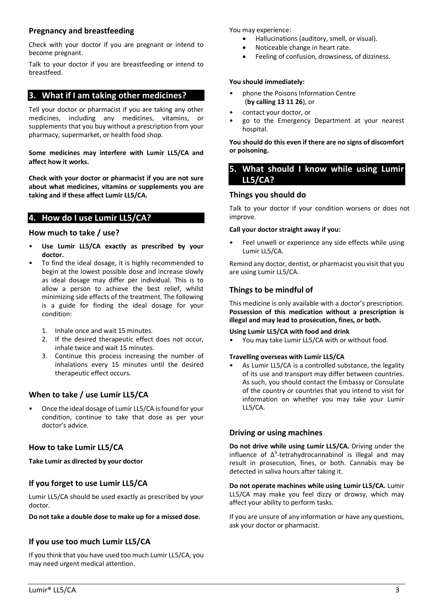## **Pregnancy and breastfeeding**

Check with your doctor if you are pregnant or intend to become pregnant.

Talk to your doctor if you are breastfeeding or intend to breastfeed.

# <span id="page-2-0"></span>**3. What if I am taking other medicines?**

Tell your doctor or pharmacist if you are taking any other medicines, including any medicines, vitamins, or supplements that you buy without a prescription from your pharmacy, supermarket, or health food shop.

**Some medicines may interfere with Lumir LL5/CA and affect how it works.**

**Check with your doctor or pharmacist if you are not sure about what medicines, vitamins or supplements you are taking and if these affect Lumir LL5/CA.**

# <span id="page-2-1"></span>**4. How do I use Lumir LL5/CA?**

## **How much to take / use?**

- **Use Lumir LL5/CA exactly as prescribed by your doctor.**
- To find the ideal dosage, it is highly recommended to begin at the lowest possible dose and increase slowly as ideal dosage may differ per individual. This is to allow a person to achieve the best relief, whilst minimizing side effects of the treatment. The following is a guide for finding the ideal dosage for your condition:
	- 1. Inhale once and wait 15 minutes.
	- 2. If the desired therapeutic effect does not occur, inhale twice and wait 15 minutes.
	- 3. Continue this process increasing the number of inhalations every 15 minutes until the desired therapeutic effect occurs.

# **When to take / use Lumir LL5/CA**

• Once the ideal dosage of Lumir LL5/CA is found for your condition, continue to take that dose as per your doctor's advice.

# **How to take Lumir LL5/CA**

**Take Lumir as directed by your doctor**

# **If you forget to use Lumir LL5/CA**

Lumir LL5/CA should be used exactly as prescribed by your doctor.

**Do not take a double dose to make up for a missed dose.**

## **If you use too much Lumir LL5/CA**

If you think that you have used too much Lumir LL5/CA, you may need urgent medical attention.

You may experience:

- Hallucinations (auditory, smell, or visual).
- Noticeable change in heart rate.
- Feeling of confusion, drowsiness, of dizziness.

## **You should immediately:**

- phone the Poisons Information Centre (**by calling 13 11 26**), or
- contact your doctor, or
- go to the Emergency Department at your nearest hospital.

**You should do this even if there are no signs of discomfort or poisoning.** 

## <span id="page-2-2"></span>**5. What should I know while using Lumir LL5/CA?**

## **Things you should do**

Talk to your doctor if your condition worsens or does not improve.

## **Call your doctor straight away if you:**

Feel unwell or experience any side effects while using Lumir LL5/CA.

Remind any doctor, dentist, or pharmacist you visit that you are using Lumir LL5/CA.

## **Things to be mindful of**

This medicine is only available with a doctor's prescription. **Possession of this medication without a prescription is illegal and may lead to prosecution, fines, or both.**

#### **Using Lumir LL5/CA with food and drink**

• You may take Lumir LL5/CA with or without food.

#### **Travelling overseas with Lumir LL5/CA**

As Lumir LL5/CA is a controlled substance, the legality of its use and transport may differ between countries. As such, you should contact the Embassy or Consulate of the country or countries that you intend to visit for information on whether you may take your Lumir LL5/CA.

## **Driving or using machines**

**Do not drive while using Lumir LL5/CA.** Driving under the influence of  $\Delta^9$ -tetrahydrocannabinol is illegal and may result in prosecution, fines, or both. Cannabis may be detected in saliva hours after taking it.

**Do not operate machines while using Lumir LL5/CA.** Lumir LL5/CA may make you feel dizzy or drowsy, which may affect your ability to perform tasks.

If you are unsure of any information or have any questions, ask your doctor or pharmacist.